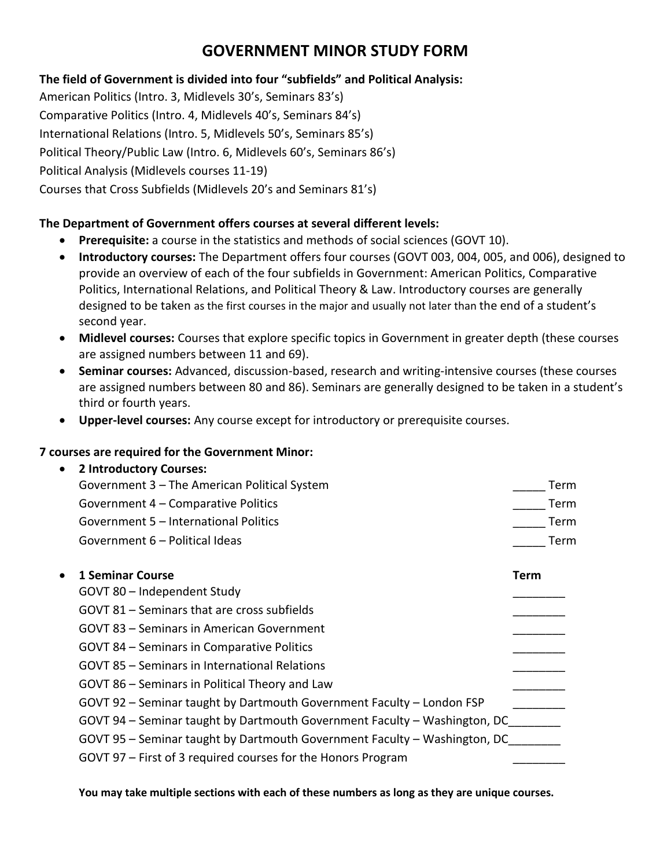# **GOVERNMENT MINOR STUDY FORM**

## **The field of Government is divided into four "subfields" and Political Analysis:**

American Politics (Intro. 3, Midlevels 30's, Seminars 83's) Comparative Politics (Intro. 4, Midlevels 40's, Seminars 84's) International Relations (Intro. 5, Midlevels 50's, Seminars 85's) Political Theory/Public Law (Intro. 6, Midlevels 60's, Seminars 86's) Political Analysis (Midlevels courses 11-19) Courses that Cross Subfields (Midlevels 20's and Seminars 81's)

### **The Department of Government offers courses at several different levels:**

- **Prerequisite:** a course in the statistics and methods of social sciences (GOVT 10).
- **Introductory courses:** The Department offers four courses (GOVT 003, 004, 005, and 006), designed to provide an overview of each of the four subfields in Government: American Politics, Comparative Politics, International Relations, and Political Theory & Law. Introductory courses are generally designed to be taken as the first courses in the major and usually not later than the end of a student's second year.
- **Midlevel courses:** Courses that explore specific topics in Government in greater depth (these courses are assigned numbers between 11 and 69).
- **Seminar courses:** Advanced, discussion-based, research and writing-intensive courses (these courses are assigned numbers between 80 and 86). Seminars are generally designed to be taken in a student's third or fourth years.
- **Upper-level courses:** Any course except for introductory or prerequisite courses.

### **7 courses are required for the Government Minor:**

| $\bullet$ | <b>2 Introductory Courses:</b>                                            |      |             |
|-----------|---------------------------------------------------------------------------|------|-------------|
|           | Government 3 – The American Political System                              |      | Term        |
|           | Government 4 – Comparative Politics                                       |      | <b>Term</b> |
|           | Government 5 - International Politics                                     |      | Term        |
|           | Government 6 - Political Ideas                                            |      | Term        |
| $\bullet$ | 1 Seminar Course                                                          | Term |             |
|           | GOVT 80 - Independent Study                                               |      |             |
|           | GOVT 81 – Seminars that are cross subfields                               |      |             |
|           | GOVT 83 – Seminars in American Government                                 |      |             |
|           | GOVT 84 – Seminars in Comparative Politics                                |      |             |
|           | GOVT 85 – Seminars in International Relations                             |      |             |
|           | GOVT 86 – Seminars in Political Theory and Law                            |      |             |
|           | GOVT 92 – Seminar taught by Dartmouth Government Faculty – London FSP     |      |             |
|           | GOVT 94 - Seminar taught by Dartmouth Government Faculty - Washington, DC |      |             |
|           | GOVT 95 - Seminar taught by Dartmouth Government Faculty - Washington, DC |      |             |
|           | GOVT 97 – First of 3 required courses for the Honors Program              |      |             |
|           |                                                                           |      |             |

**You may take multiple sections with each of these numbers as long as they are unique courses.**